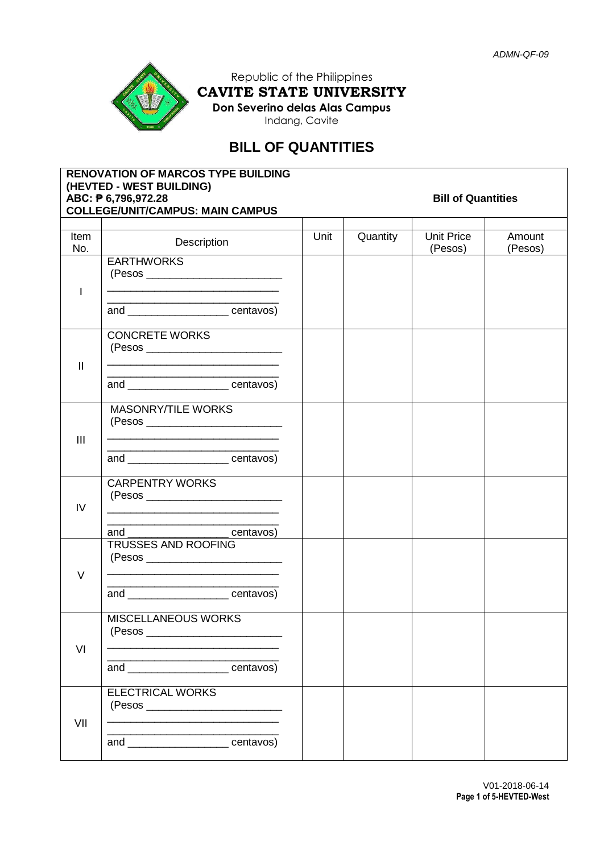

Republic of the Philippines **CAVITE STATE UNIVERSITY Don Severino delas Alas Campus** Indang, Cavite

# **BILL OF QUANTITIES**

|                | <b>RENOVATION OF MARCOS TYPE BUILDING</b><br>(HEVTED - WEST BUILDING)<br>ABC: <b>P</b> 6,796,972.28<br><b>COLLEGE/UNIT/CAMPUS: MAIN CAMPUS</b> | <b>Bill of Quantities</b> |          |                       |                   |  |
|----------------|------------------------------------------------------------------------------------------------------------------------------------------------|---------------------------|----------|-----------------------|-------------------|--|
|                |                                                                                                                                                |                           |          |                       |                   |  |
| Item<br>No.    | Description                                                                                                                                    | Unit                      | Quantity | Unit Price<br>(Pesos) | Amount<br>(Pesos) |  |
|                | <b>EARTHWORKS</b>                                                                                                                              |                           |          |                       |                   |  |
| I.             |                                                                                                                                                |                           |          |                       |                   |  |
|                | and ________________________centavos)                                                                                                          |                           |          |                       |                   |  |
|                | <b>CONCRETE WORKS</b>                                                                                                                          |                           |          |                       |                   |  |
| $\mathbf{II}$  | <u> 1989 - Johann John Stone, mensk politik (d. 1989)</u>                                                                                      |                           |          |                       |                   |  |
|                | and ________________________centavos)                                                                                                          |                           |          |                       |                   |  |
|                | <b>MASONRY/TILE WORKS</b>                                                                                                                      |                           |          |                       |                   |  |
| $\mathbf{III}$ |                                                                                                                                                |                           |          |                       |                   |  |
|                | and ________________________centavos)                                                                                                          |                           |          |                       |                   |  |
|                | <b>CARPENTRY WORKS</b>                                                                                                                         |                           |          |                       |                   |  |
| IV             |                                                                                                                                                |                           |          |                       |                   |  |
|                | and ______________________centavos)                                                                                                            |                           |          |                       |                   |  |
|                | <b>TRUSSES AND ROOFING</b>                                                                                                                     |                           |          |                       |                   |  |
| $\vee$         | <u>. Kabupatèn Sumangaran Kabupatèn Sumangaran Kabupatèn Sumangaran Kabupatèn Sumangaran Kabupatèn Sumangaran Ka</u>                           |                           |          |                       |                   |  |
|                | and _______________________centavos)                                                                                                           |                           |          |                       |                   |  |
|                | <b>MISCELLANEOUS WORKS</b>                                                                                                                     |                           |          |                       |                   |  |
| VI             |                                                                                                                                                |                           |          |                       |                   |  |
|                | and ______________________centavos)                                                                                                            |                           |          |                       |                   |  |
|                | <b>ELECTRICAL WORKS</b>                                                                                                                        |                           |          |                       |                   |  |
| VII            |                                                                                                                                                |                           |          |                       |                   |  |
|                | and _____________________centavos)                                                                                                             |                           |          |                       |                   |  |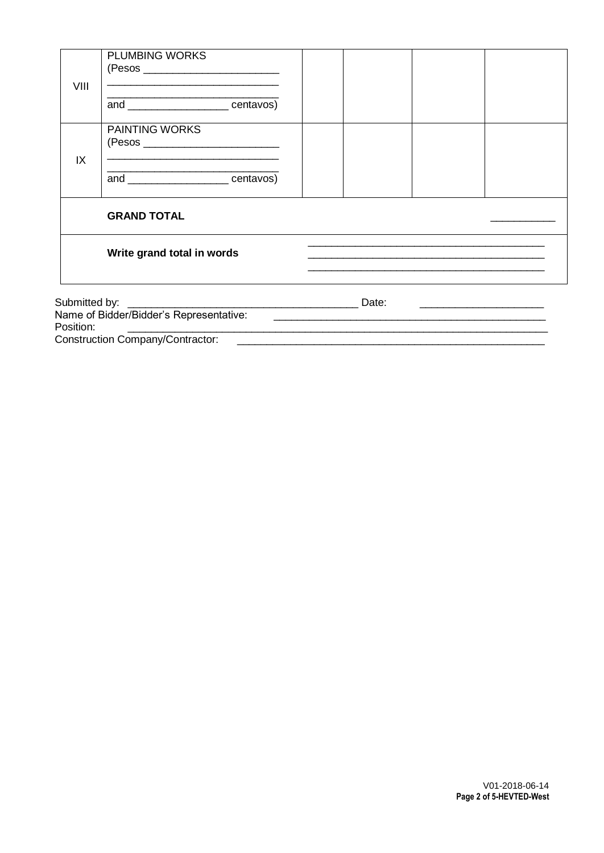| VIII                                    | <b>PLUMBING WORKS</b><br>(Pesos ____________________________<br><u> 1989 - Johann Stoff, amerikansk politiker (d. 1989)</u><br>and _____________________centavos) |  |  |  |  |  |  |
|-----------------------------------------|-------------------------------------------------------------------------------------------------------------------------------------------------------------------|--|--|--|--|--|--|
| IX                                      | <b>PAINTING WORKS</b><br><u> 1989 - Andrea Stadt Britain, amerikansk politik (* 1958)</u>                                                                         |  |  |  |  |  |  |
|                                         | and __________________centavos)                                                                                                                                   |  |  |  |  |  |  |
|                                         | <b>GRAND TOTAL</b><br>Write grand total in words                                                                                                                  |  |  |  |  |  |  |
| Position:                               | <u> 1980 - Jan James James Sandarík (</u> † 1920)                                                                                                                 |  |  |  |  |  |  |
| <b>Construction Company/Contractor:</b> |                                                                                                                                                                   |  |  |  |  |  |  |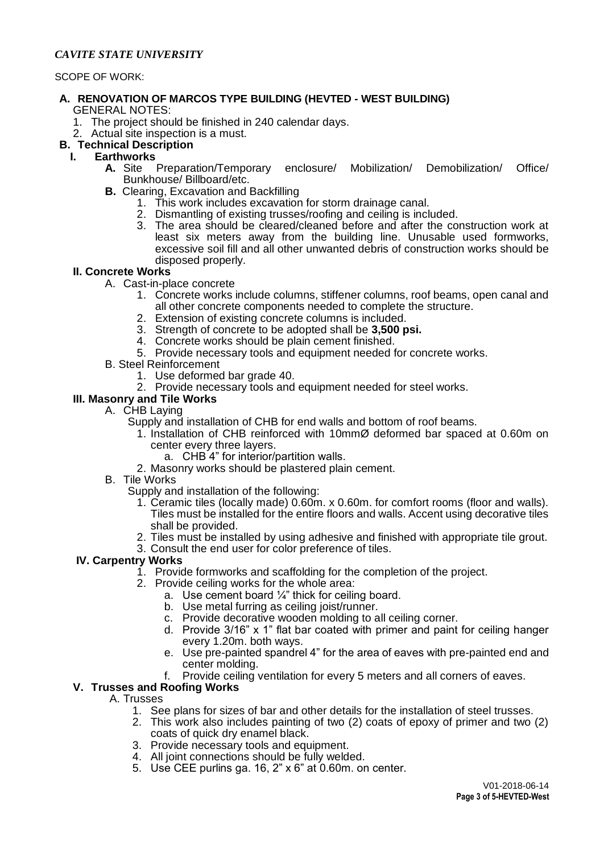# *CAVITE STATE UNIVERSITY*

#### SCOPE OF WORK:

#### **A. RENOVATION OF MARCOS TYPE BUILDING (HEVTED - WEST BUILDING)** GENERAL NOTES:

- 1. The project should be finished in 240 calendar days.
- 2. Actual site inspection is a must.

# **B. Technical Description**

# **I. Earthworks**

- **A.** Site Preparation/Temporary enclosure/ Mobilization/ Demobilization/ Office/ Bunkhouse/ Billboard/etc.
- **B.** Clearing, Excavation and Backfilling
	- 1. This work includes excavation for storm drainage canal.
	- 2. Dismantling of existing trusses/roofing and ceiling is included.
	- 3. The area should be cleared/cleaned before and after the construction work at least six meters away from the building line. Unusable used formworks, excessive soil fill and all other unwanted debris of construction works should be disposed properly.

#### **II. Concrete Works**

- A. Cast-in-place concrete
	- 1. Concrete works include columns, stiffener columns, roof beams, open canal and all other concrete components needed to complete the structure.
	- 2. Extension of existing concrete columns is included.
	- 3. Strength of concrete to be adopted shall be **3,500 psi.**
	- 4. Concrete works should be plain cement finished.
	- 5. Provide necessary tools and equipment needed for concrete works.
- B. Steel Reinforcement
	- 1. Use deformed bar grade 40.

# 2. Provide necessary tools and equipment needed for steel works.

#### **III. Masonry and Tile Works**

- A. CHB Laying
	- Supply and installation of CHB for end walls and bottom of roof beams.
		- 1. Installation of CHB reinforced with 10mmØ deformed bar spaced at 0.60m on center every three layers.
			- a. CHB 4" for interior/partition walls.
		- 2. Masonry works should be plastered plain cement.
- B. Tile Works
	- Supply and installation of the following:
		- 1. Ceramic tiles (locally made) 0.60m. x 0.60m. for comfort rooms (floor and walls). Tiles must be installed for the entire floors and walls. Accent using decorative tiles shall be provided.
		- 2. Tiles must be installed by using adhesive and finished with appropriate tile grout.
		- 3. Consult the end user for color preference of tiles.

# **IV. Carpentry Works**

- 1. Provide formworks and scaffolding for the completion of the project.
- 2. Provide ceiling works for the whole area:
	- a. Use cement board  $\frac{1}{4}$ " thick for ceiling board.
	- b. Use metal furring as ceiling joist/runner.
	- c. Provide decorative wooden molding to all ceiling corner.
	- d. Provide 3/16" x 1" flat bar coated with primer and paint for ceiling hanger every 1.20m. both ways.
	- e. Use pre-painted spandrel 4" for the area of eaves with pre-painted end and center molding.
	- f. Provide ceiling ventilation for every 5 meters and all corners of eaves.

#### **V. Trusses and Roofing Works**

A. Trusses

- 1. See plans for sizes of bar and other details for the installation of steel trusses.
- 2. This work also includes painting of two (2) coats of epoxy of primer and two (2) coats of quick dry enamel black.
- 3. Provide necessary tools and equipment.
- 4. All joint connections should be fully welded.
- 5. Use CEE purlins ga. 16, 2" x 6" at 0.60m. on center.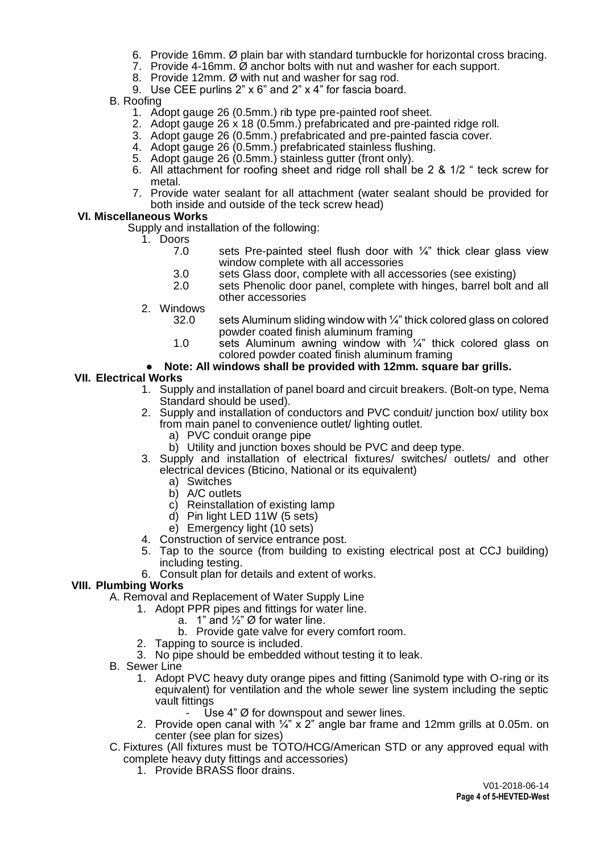- 6. Provide 16mm. Ø plain bar with standard turnbuckle for horizontal cross bracing.
- 7. Provide 4-16mm. Ø anchor bolts with nut and washer for each support.
- 8. Provide 12mm. Ø with nut and washer for sag rod.
- 9. Use CEE purlins 2" x 6" and 2" x 4" for fascia board.
- B. Roofing
	- 1. Adopt gauge 26 (0.5mm.) rib type pre-painted roof sheet.
	- 2. Adopt gauge 26 x 18 (0.5mm.) prefabricated and pre-painted ridge roll.
	- 3. Adopt gauge 26 (0.5mm.) prefabricated and pre-painted fascia cover.
	- 4. Adopt gauge 26 (0.5mm.) prefabricated stainless flushing.
	- 5. Adopt gauge 26 (0.5mm.) stainless gutter (front only).
	- 6. All attachment for roofing sheet and ridge roll shall be 2 & 1/2 " teck screw for metal.
	- 7. Provide water sealant for all attachment (water sealant should be provided for both inside and outside of the teck screw head)

# **VI. Miscellaneous Works**

Supply and installation of the following:

- 1. Doors<br>7.0
	- sets Pre-painted steel flush door with  $\frac{1}{4}$ " thick clear glass view window complete with all accessories
	- 3.0 sets Glass door, complete with all accessories (see existing)<br>2.0 sets Phenolic door panel, complete with hinges, barrel bolt
	- sets Phenolic door panel, complete with hinges, barrel bolt and all other accessories
- 2. Windows
	- 32.0 sets Aluminum sliding window with ¼" thick colored glass on colored powder coated finish aluminum framing
	- 1.0 sets Aluminum awning window with  $\frac{1}{4}$ " thick colored glass on colored powder coated finish aluminum framing

# Note: All windows shall be provided with 12mm. square bar grills.

# **VII. Electrical Works**

- 1. Supply and installation of panel board and circuit breakers. (Bolt-on type, Nema Standard should be used).
- 2. Supply and installation of conductors and PVC conduit/ junction box/ utility box from main panel to convenience outlet/ lighting outlet.
	- a) PVC conduit orange pipe
	- b) Utility and junction boxes should be PVC and deep type.
- 3. Supply and installation of electrical fixtures/ switches/ outlets/ and other electrical devices (Bticino, National or its equivalent)
	- a) Switches
	- b) A/C outlets
	- c) Reinstallation of existing lamp
	- d) Pin light LED 11W (5 sets)
	- e) Emergency light (10 sets)
- 4. Construction of service entrance post.
- 5. Tap to the source (from building to existing electrical post at CCJ building) including testing.
- 6. Consult plan for details and extent of works.

# **VIII. Plumbing Works**

- A. Removal and Replacement of Water Supply Line
	- 1. Adopt PPR pipes and fittings for water line.
		- a.  $\,$  1" and  $\mathcal{V}_2$ " Ø for water line.
		- b. Provide gate valve for every comfort room.
	- 2. Tapping to source is included.
	- 3. No pipe should be embedded without testing it to leak.
- B. Sewer Line
	- 1. Adopt PVC heavy duty orange pipes and fitting (Sanimold type with O-ring or its equivalent) for ventilation and the whole sewer line system including the septic vault fittings
		- Use 4"  $\emptyset$  for downspout and sewer lines.
	- 2. Provide open canal with  $\frac{1}{4}$ " x 2" angle bar frame and 12mm grills at 0.05m. on center (see plan for sizes)
- C. Fixtures (All fixtures must be TOTO/HCG/American STD or any approved equal with complete heavy duty fittings and accessories)
	- 1. Provide BRASS floor drains.